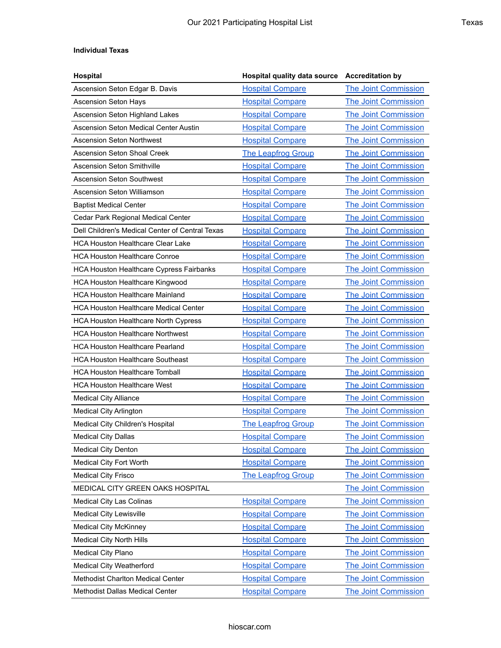## **Individual Texas**

| <b>Hospital</b>                                 | <b>Hospital quality data source</b> | <b>Accreditation by</b>     |
|-------------------------------------------------|-------------------------------------|-----------------------------|
| Ascension Seton Edgar B. Davis                  | <b>Hospital Compare</b>             | <b>The Joint Commission</b> |
| <b>Ascension Seton Hays</b>                     | <b>Hospital Compare</b>             | <b>The Joint Commission</b> |
| Ascension Seton Highland Lakes                  | <b>Hospital Compare</b>             | <b>The Joint Commission</b> |
| Ascension Seton Medical Center Austin           | <b>Hospital Compare</b>             | <b>The Joint Commission</b> |
| Ascension Seton Northwest                       | <b>Hospital Compare</b>             | <b>The Joint Commission</b> |
| <b>Ascension Seton Shoal Creek</b>              | <b>The Leapfrog Group</b>           | <b>The Joint Commission</b> |
| <b>Ascension Seton Smithville</b>               | <b>Hospital Compare</b>             | <b>The Joint Commission</b> |
| <b>Ascension Seton Southwest</b>                | <b>Hospital Compare</b>             | <b>The Joint Commission</b> |
| Ascension Seton Williamson                      | <b>Hospital Compare</b>             | <b>The Joint Commission</b> |
| <b>Baptist Medical Center</b>                   | <b>Hospital Compare</b>             | <b>The Joint Commission</b> |
| Cedar Park Regional Medical Center              | <b>Hospital Compare</b>             | <b>The Joint Commission</b> |
| Dell Children's Medical Center of Central Texas | <b>Hospital Compare</b>             | <b>The Joint Commission</b> |
| <b>HCA Houston Healthcare Clear Lake</b>        | <b>Hospital Compare</b>             | <b>The Joint Commission</b> |
| <b>HCA Houston Healthcare Conroe</b>            | <b>Hospital Compare</b>             | <b>The Joint Commission</b> |
| <b>HCA Houston Healthcare Cypress Fairbanks</b> | <b>Hospital Compare</b>             | <b>The Joint Commission</b> |
| <b>HCA Houston Healthcare Kingwood</b>          | <b>Hospital Compare</b>             | <b>The Joint Commission</b> |
| <b>HCA Houston Healthcare Mainland</b>          | <b>Hospital Compare</b>             | <b>The Joint Commission</b> |
| <b>HCA Houston Healthcare Medical Center</b>    | <b>Hospital Compare</b>             | <b>The Joint Commission</b> |
| <b>HCA Houston Healthcare North Cypress</b>     | <b>Hospital Compare</b>             | <b>The Joint Commission</b> |
| <b>HCA Houston Healthcare Northwest</b>         | <b>Hospital Compare</b>             | <b>The Joint Commission</b> |
| <b>HCA Houston Healthcare Pearland</b>          | <b>Hospital Compare</b>             | <b>The Joint Commission</b> |
| <b>HCA Houston Healthcare Southeast</b>         | <b>Hospital Compare</b>             | <b>The Joint Commission</b> |
| <b>HCA Houston Healthcare Tomball</b>           | <b>Hospital Compare</b>             | <b>The Joint Commission</b> |
| <b>HCA Houston Healthcare West</b>              | <b>Hospital Compare</b>             | <b>The Joint Commission</b> |
| <b>Medical City Alliance</b>                    | <b>Hospital Compare</b>             | <b>The Joint Commission</b> |
| <b>Medical City Arlington</b>                   | <b>Hospital Compare</b>             | <b>The Joint Commission</b> |
| Medical City Children's Hospital                | <b>The Leapfrog Group</b>           | <b>The Joint Commission</b> |
| <b>Medical City Dallas</b>                      | <b>Hospital Compare</b>             | <b>The Joint Commission</b> |
| <b>Medical City Denton</b>                      | <b>Hospital Compare</b>             | <b>The Joint Commission</b> |
| Medical City Fort Worth                         | <b>Hospital Compare</b>             | <b>The Joint Commission</b> |
| <b>Medical City Frisco</b>                      | <b>The Leapfrog Group</b>           | <b>The Joint Commission</b> |
| MEDICAL CITY GREEN OAKS HOSPITAL                |                                     | <b>The Joint Commission</b> |
| Medical City Las Colinas                        | <b>Hospital Compare</b>             | <b>The Joint Commission</b> |
| Medical City Lewisville                         | <b>Hospital Compare</b>             | <b>The Joint Commission</b> |
| <b>Medical City McKinney</b>                    | <b>Hospital Compare</b>             | <b>The Joint Commission</b> |
| <b>Medical City North Hills</b>                 | <b>Hospital Compare</b>             | The Joint Commission        |
| <b>Medical City Plano</b>                       | <b>Hospital Compare</b>             | <b>The Joint Commission</b> |
| Medical City Weatherford                        | <b>Hospital Compare</b>             | <b>The Joint Commission</b> |
| <b>Methodist Charlton Medical Center</b>        | <b>Hospital Compare</b>             | <b>The Joint Commission</b> |
| Methodist Dallas Medical Center                 | <b>Hospital Compare</b>             | <b>The Joint Commission</b> |